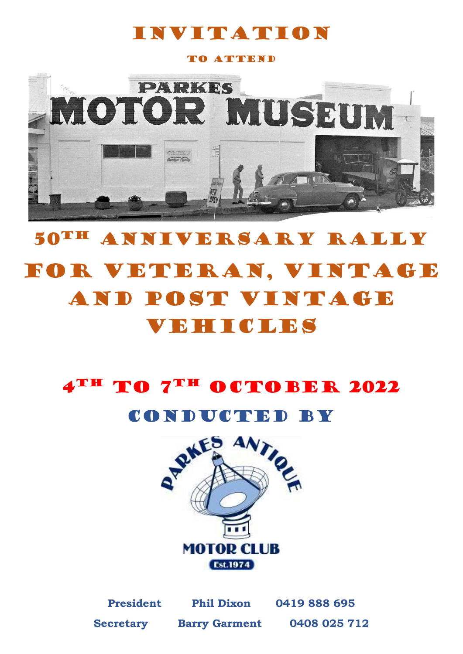# INVITATION

#### TO ATTEND



# 50th ANNIVERSARY RALLY FOR VETERAN, VINTAGE and POST VINTAGE VEHICLES

# 4th to 7th OCTOBER 2022

#### CONDUCTED BY



**President Phil Dixon 0419 888 695 Secretary Barry Garment 0408 025 712**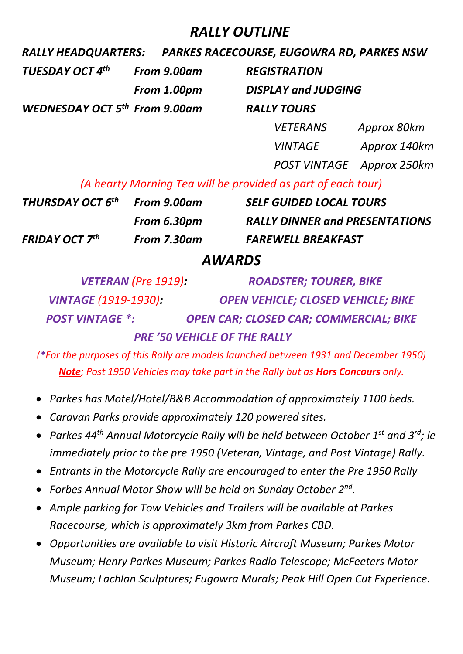#### *RALLY OUTLINE*

*RALLY HEADQUARTERS: PARKES RACECOURSE, EUGOWRA RD, PARKES NSW*

| <b>TUESDAY OCT 4th</b>               | From 9.00am | <b>REGISTRATION</b> |                            |              |  |  |
|--------------------------------------|-------------|---------------------|----------------------------|--------------|--|--|
|                                      | From 1.00pm |                     | <b>DISPLAY and JUDGING</b> |              |  |  |
| <b>WEDNESDAY OCT 5th From 9.00am</b> |             | <b>RALLY TOURS</b>  |                            |              |  |  |
|                                      |             |                     | <b>VETERANS</b>            | Approx 80km  |  |  |
|                                      |             |                     | <b>VINTAGE</b>             | Approx 140km |  |  |
|                                      |             |                     | POST VINTAGE Approx 250km  |              |  |  |

*(A hearty Morning Tea will be provided as part of each tour)*

| <b>THURSDAY OCT 6th</b> | From 9.00am   | <b>SELF GUIDED LOCAL TOURS</b>        |
|-------------------------|---------------|---------------------------------------|
|                         | From 6.30pm   | <b>RALLY DINNER and PRESENTATIONS</b> |
| <b>FRIDAY OCT 7th</b>   | From 7.30am   | <b>FAREWELL BREAKFAST</b>             |
|                         | <b>AWARDS</b> |                                       |

# *AWARDS*

| <b>VETERAN (Pre 1919):</b>  | <b>ROADSTER; TOURER, BIKE</b>                 |
|-----------------------------|-----------------------------------------------|
| <b>VINTAGE (1919-1930):</b> | <b>OPEN VEHICLE; CLOSED VEHICLE; BIKE</b>     |
| <b>POST VINTAGE *:</b>      | <b>OPEN CAR; CLOSED CAR; COMMERCIAL; BIKE</b> |
|                             | <b>PRE '50 VEHICLE OF THE RALLY</b>           |

*(\*For the purposes of this Rally are models launched between 1931 and December 1950) Note; Post 1950 Vehicles may take part in the Rally but as Hors Concours only.*

- *Parkes has Motel/Hotel/B&B Accommodation of approximately 1100 beds.*
- *Caravan Parks provide approximately 120 powered sites.*
- *Parkes 44th Annual Motorcycle Rally will be held between October 1st and 3rd; ie immediately prior to the pre 1950 (Veteran, Vintage, and Post Vintage) Rally.*
- *Entrants in the Motorcycle Rally are encouraged to enter the Pre 1950 Rally*
- *Forbes Annual Motor Show will be held on Sunday October 2nd .*
- *Ample parking for Tow Vehicles and Trailers will be available at Parkes Racecourse, which is approximately 3km from Parkes CBD.*
- *Opportunities are available to visit Historic Aircraft Museum; Parkes Motor Museum; Henry Parkes Museum; Parkes Radio Telescope; McFeeters Motor Museum; Lachlan Sculptures; Eugowra Murals; Peak Hill Open Cut Experience.*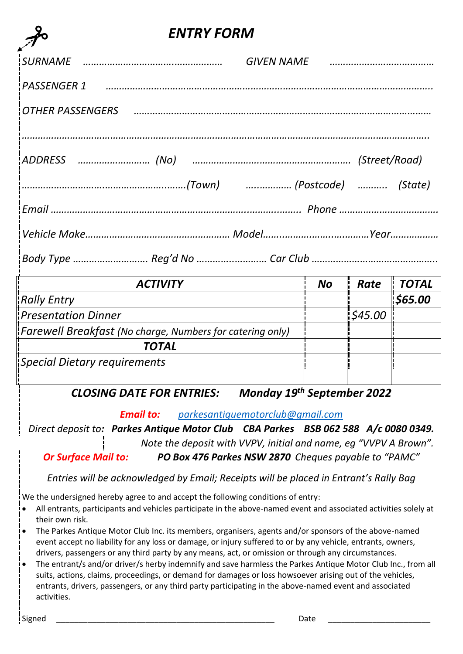## *ENTRY FORM*

|                                     | <b>ENTRY FORM</b>                                                                                                                                                                                                                                                                                                                                                                                                                           |                                        |           |         |              |
|-------------------------------------|---------------------------------------------------------------------------------------------------------------------------------------------------------------------------------------------------------------------------------------------------------------------------------------------------------------------------------------------------------------------------------------------------------------------------------------------|----------------------------------------|-----------|---------|--------------|
|                                     |                                                                                                                                                                                                                                                                                                                                                                                                                                             |                                        |           |         |              |
| <b>PASSENGER 1</b>                  |                                                                                                                                                                                                                                                                                                                                                                                                                                             |                                        |           |         |              |
|                                     |                                                                                                                                                                                                                                                                                                                                                                                                                                             |                                        |           |         |              |
|                                     |                                                                                                                                                                                                                                                                                                                                                                                                                                             |                                        |           |         |              |
|                                     |                                                                                                                                                                                                                                                                                                                                                                                                                                             |                                        |           |         |              |
|                                     |                                                                                                                                                                                                                                                                                                                                                                                                                                             |                                        |           |         |              |
|                                     |                                                                                                                                                                                                                                                                                                                                                                                                                                             |                                        |           |         |              |
|                                     |                                                                                                                                                                                                                                                                                                                                                                                                                                             |                                        |           |         |              |
|                                     | <b>ACTIVITY</b>                                                                                                                                                                                                                                                                                                                                                                                                                             |                                        | <b>No</b> | Rate    | <b>TOTAL</b> |
| <b>Rally Entry</b>                  |                                                                                                                                                                                                                                                                                                                                                                                                                                             |                                        |           |         | \$65.00      |
| <b>Presentation Dinner</b>          |                                                                                                                                                                                                                                                                                                                                                                                                                                             |                                        |           | \$45.00 |              |
|                                     | Farewell Breakfast (No charge, Numbers for catering only)                                                                                                                                                                                                                                                                                                                                                                                   |                                        |           |         |              |
|                                     | <b>TOTAL</b>                                                                                                                                                                                                                                                                                                                                                                                                                                |                                        |           |         |              |
| <b>Special Dietary requirements</b> |                                                                                                                                                                                                                                                                                                                                                                                                                                             |                                        |           |         |              |
|                                     | <b>CLOSING DATE FOR ENTRIES:</b>                                                                                                                                                                                                                                                                                                                                                                                                            | Monday 19 <sup>th</sup> September 2022 |           |         |              |
| <b>Or Surface Mail to:</b>          | <b>Email to:</b> parkesantiquemotorclub@gmail.com<br>Direct deposit to: Parkes Antique Motor Club CBA Parkes BSB 062 588 A/c 0080 0349.<br>Note the deposit with VVPV, initial and name, eg "VVPV A Brown".<br>PO Box 476 Parkes NSW 2870 Cheques payable to "PAMC"                                                                                                                                                                         |                                        |           |         |              |
|                                     | Entries will be acknowledged by Email; Receipts will be placed in Entrant's Rally Bag                                                                                                                                                                                                                                                                                                                                                       |                                        |           |         |              |
| their own risk.                     | We the undersigned hereby agree to and accept the following conditions of entry:<br>All entrants, participants and vehicles participate in the above-named event and associated activities solely at<br>The Parkes Antique Motor Club Inc. its members, organisers, agents and/or sponsors of the above-named<br>event accept no liability for any loss or damage, or injury suffered to or by any vehicle, entrants, owners,               |                                        |           |         |              |
| activities.                         | drivers, passengers or any third party by any means, act, or omission or through any circumstances.<br>The entrant/s and/or driver/s herby indemnify and save harmless the Parkes Antique Motor Club Inc., from all<br>suits, actions, claims, proceedings, or demand for damages or loss howsoever arising out of the vehicles,<br>entrants, drivers, passengers, or any third party participating in the above-named event and associated |                                        |           |         |              |
| Signed                              |                                                                                                                                                                                                                                                                                                                                                                                                                                             | Date                                   |           |         |              |